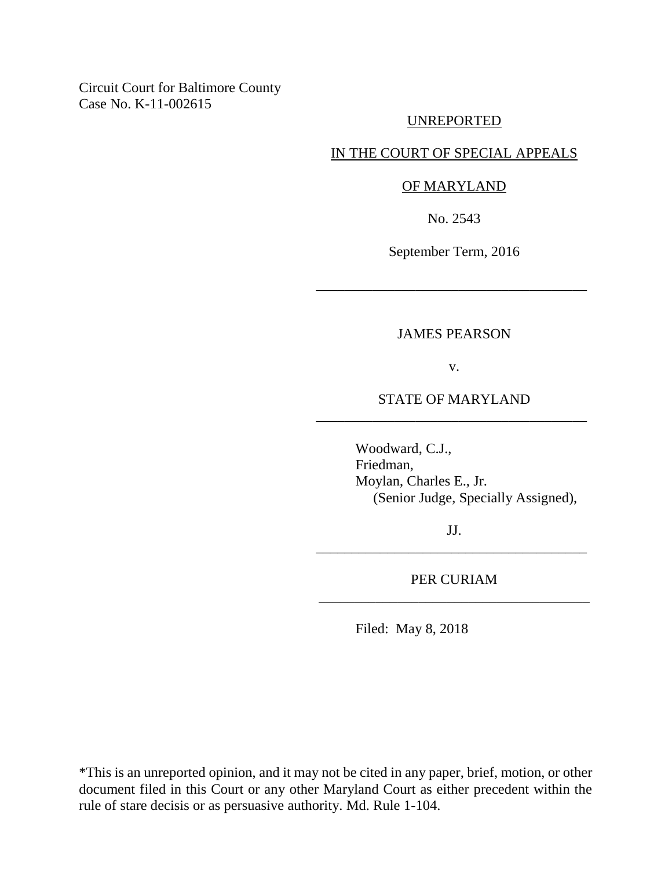Circuit Court for Baltimore County Case No. K-11-002615

#### UNREPORTED

#### IN THE COURT OF SPECIAL APPEALS

#### OF MARYLAND

No. 2543

September Term, 2016

\_\_\_\_\_\_\_\_\_\_\_\_\_\_\_\_\_\_\_\_\_\_\_\_\_\_\_\_\_\_\_\_\_\_\_\_\_\_

# JAMES PEARSON

v.

# STATE OF MARYLAND \_\_\_\_\_\_\_\_\_\_\_\_\_\_\_\_\_\_\_\_\_\_\_\_\_\_\_\_\_\_\_\_\_\_\_\_\_\_

Woodward, C.J., Friedman, Moylan, Charles E., Jr. (Senior Judge, Specially Assigned),

JJ. \_\_\_\_\_\_\_\_\_\_\_\_\_\_\_\_\_\_\_\_\_\_\_\_\_\_\_\_\_\_\_\_\_\_\_\_\_\_

PER CURIAM \_\_\_\_\_\_\_\_\_\_\_\_\_\_\_\_\_\_\_\_\_\_\_\_\_\_\_\_\_\_\_\_\_\_\_\_\_\_

Filed: May 8, 2018

\*This is an unreported opinion, and it may not be cited in any paper, brief, motion, or other document filed in this Court or any other Maryland Court as either precedent within the rule of stare decisis or as persuasive authority. Md. Rule 1-104.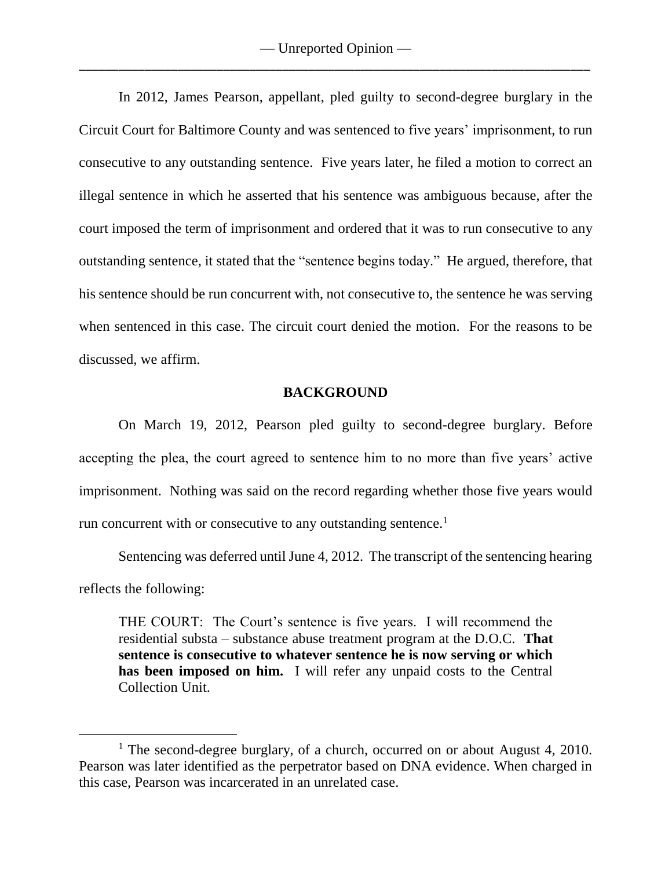In 2012, James Pearson, appellant, pled guilty to second-degree burglary in the Circuit Court for Baltimore County and was sentenced to five years' imprisonment, to run consecutive to any outstanding sentence. Five years later, he filed a motion to correct an illegal sentence in which he asserted that his sentence was ambiguous because, after the court imposed the term of imprisonment and ordered that it was to run consecutive to any outstanding sentence, it stated that the "sentence begins today." He argued, therefore, that his sentence should be run concurrent with, not consecutive to, the sentence he was serving when sentenced in this case. The circuit court denied the motion. For the reasons to be discussed, we affirm.

## **BACKGROUND**

On March 19, 2012, Pearson pled guilty to second-degree burglary. Before accepting the plea, the court agreed to sentence him to no more than five years' active imprisonment. Nothing was said on the record regarding whether those five years would run concurrent with or consecutive to any outstanding sentence.<sup>1</sup>

Sentencing was deferred until June 4, 2012. The transcript of the sentencing hearing reflects the following:

THE COURT: The Court's sentence is five years. I will recommend the residential substa – substance abuse treatment program at the D.O.C. **That sentence is consecutive to whatever sentence he is now serving or which**  has been imposed on him. I will refer any unpaid costs to the Central Collection Unit.

 $\overline{a}$ 

<sup>&</sup>lt;sup>1</sup> The second-degree burglary, of a church, occurred on or about August 4, 2010. Pearson was later identified as the perpetrator based on DNA evidence. When charged in this case, Pearson was incarcerated in an unrelated case.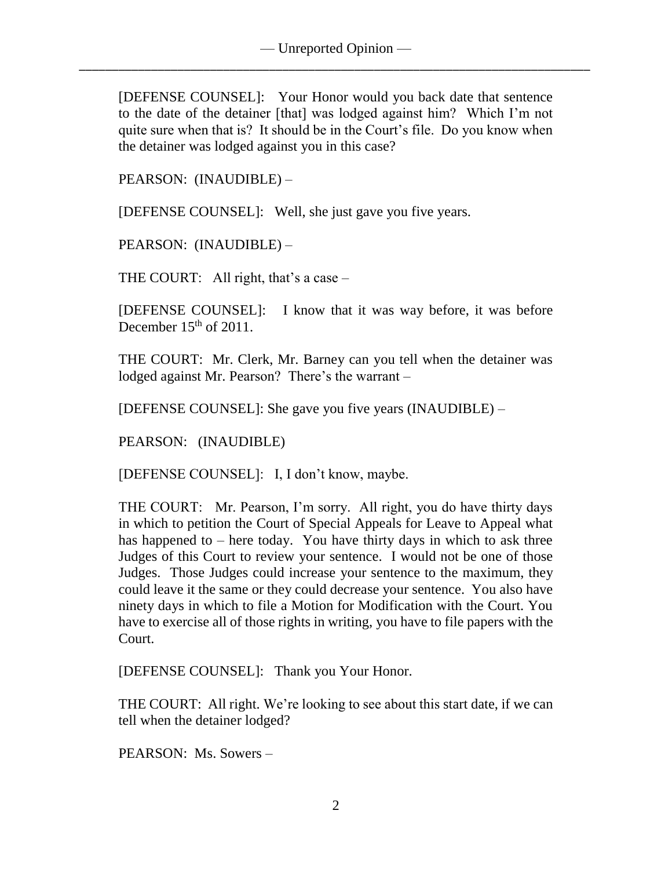[DEFENSE COUNSEL]: Your Honor would you back date that sentence to the date of the detainer [that] was lodged against him? Which I'm not quite sure when that is? It should be in the Court's file. Do you know when the detainer was lodged against you in this case?

PEARSON: (INAUDIBLE) –

[DEFENSE COUNSEL]: Well, she just gave you five years.

PEARSON: (INAUDIBLE) –

THE COURT: All right, that's a case  $-$ 

[DEFENSE COUNSEL]: I know that it was way before, it was before December  $15<sup>th</sup>$  of 2011.

THE COURT: Mr. Clerk, Mr. Barney can you tell when the detainer was lodged against Mr. Pearson? There's the warrant -

[DEFENSE COUNSEL]: She gave you five years (INAUDIBLE) –

PEARSON: (INAUDIBLE)

[DEFENSE COUNSEL]: I, I don't know, maybe.

THE COURT: Mr. Pearson, I'm sorry. All right, you do have thirty days in which to petition the Court of Special Appeals for Leave to Appeal what has happened to  $-$  here today. You have thirty days in which to ask three Judges of this Court to review your sentence. I would not be one of those Judges. Those Judges could increase your sentence to the maximum, they could leave it the same or they could decrease your sentence. You also have ninety days in which to file a Motion for Modification with the Court. You have to exercise all of those rights in writing, you have to file papers with the Court.

[DEFENSE COUNSEL]: Thank you Your Honor.

THE COURT: All right. We're looking to see about this start date, if we can tell when the detainer lodged?

PEARSON: Ms. Sowers –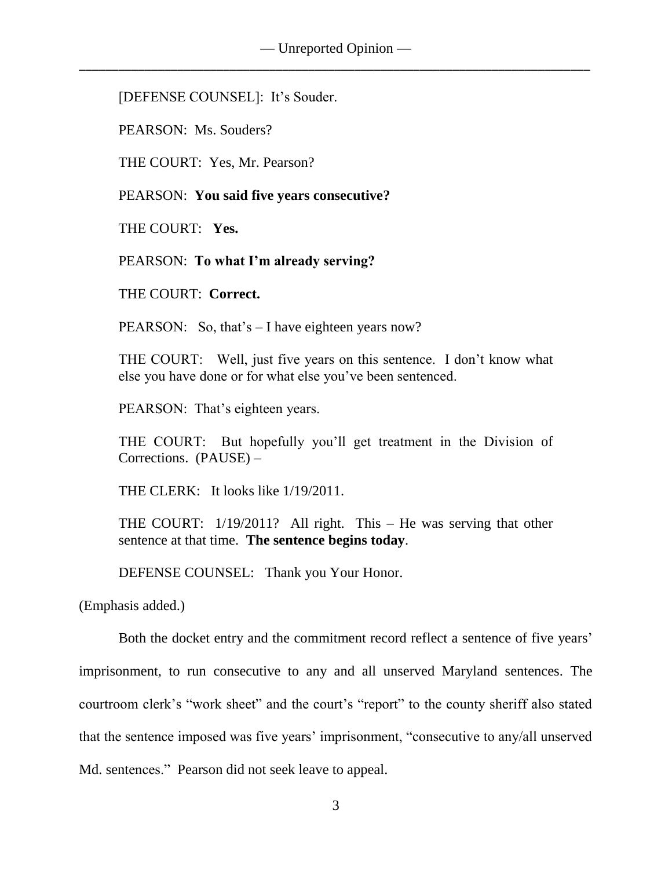[DEFENSE COUNSEL]: It's Souder.

PEARSON: Ms. Souders?

THE COURT: Yes, Mr. Pearson?

PEARSON: **You said five years consecutive?**

THE COURT: **Yes.**

PEARSON: **To what I'm already serving?**

THE COURT: **Correct.**

PEARSON: So, that's – I have eighteen years now?

THE COURT: Well, just five years on this sentence. I don't know what else you have done or for what else you've been sentenced.

PEARSON: That's eighteen years.

THE COURT: But hopefully you'll get treatment in the Division of Corrections. (PAUSE) –

THE CLERK: It looks like 1/19/2011.

THE COURT: 1/19/2011? All right. This – He was serving that other sentence at that time. **The sentence begins today**.

DEFENSE COUNSEL: Thank you Your Honor.

(Emphasis added.)

Both the docket entry and the commitment record reflect a sentence of five years' imprisonment, to run consecutive to any and all unserved Maryland sentences. The courtroom clerk's "work sheet" and the court's "report" to the county sheriff also stated that the sentence imposed was five years' imprisonment, "consecutive to any/all unserved Md. sentences." Pearson did not seek leave to appeal.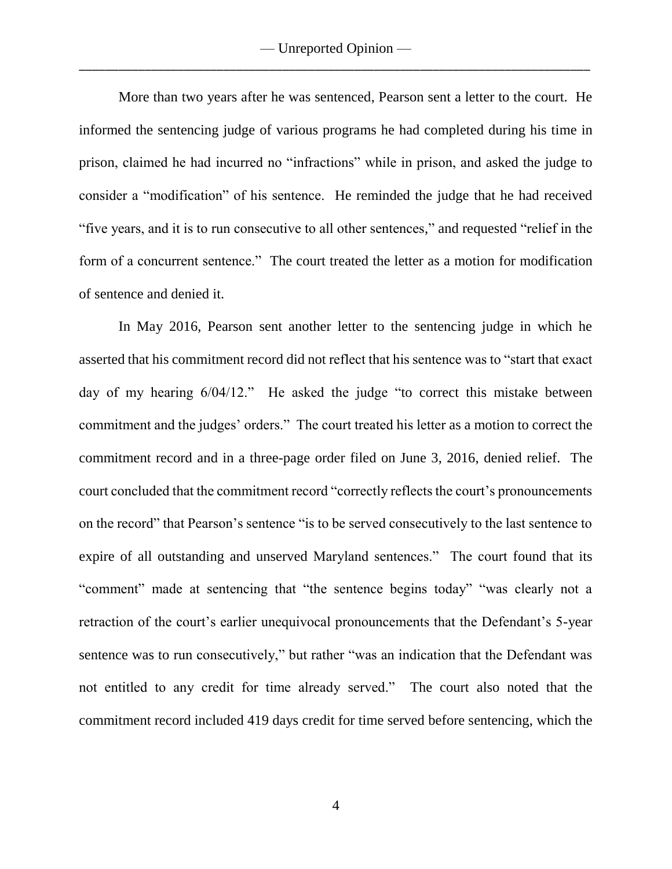More than two years after he was sentenced, Pearson sent a letter to the court. He informed the sentencing judge of various programs he had completed during his time in prison, claimed he had incurred no "infractions" while in prison, and asked the judge to consider a "modification" of his sentence. He reminded the judge that he had received "five years, and it is to run consecutive to all other sentences," and requested "relief in the form of a concurrent sentence." The court treated the letter as a motion for modification of sentence and denied it.

In May 2016, Pearson sent another letter to the sentencing judge in which he asserted that his commitment record did not reflect that his sentence was to "start that exact day of my hearing 6/04/12." He asked the judge "to correct this mistake between commitment and the judges' orders." The court treated his letter as a motion to correct the commitment record and in a three-page order filed on June 3, 2016, denied relief*.* The court concluded that the commitment record "correctly reflects the court's pronouncements on the record" that Pearson's sentence "is to be served consecutively to the last sentence to expire of all outstanding and unserved Maryland sentences." The court found that its "comment" made at sentencing that "the sentence begins today" "was clearly not a retraction of the court's earlier unequivocal pronouncements that the Defendant's 5-year sentence was to run consecutively," but rather "was an indication that the Defendant was not entitled to any credit for time already served." The court also noted that the commitment record included 419 days credit for time served before sentencing, which the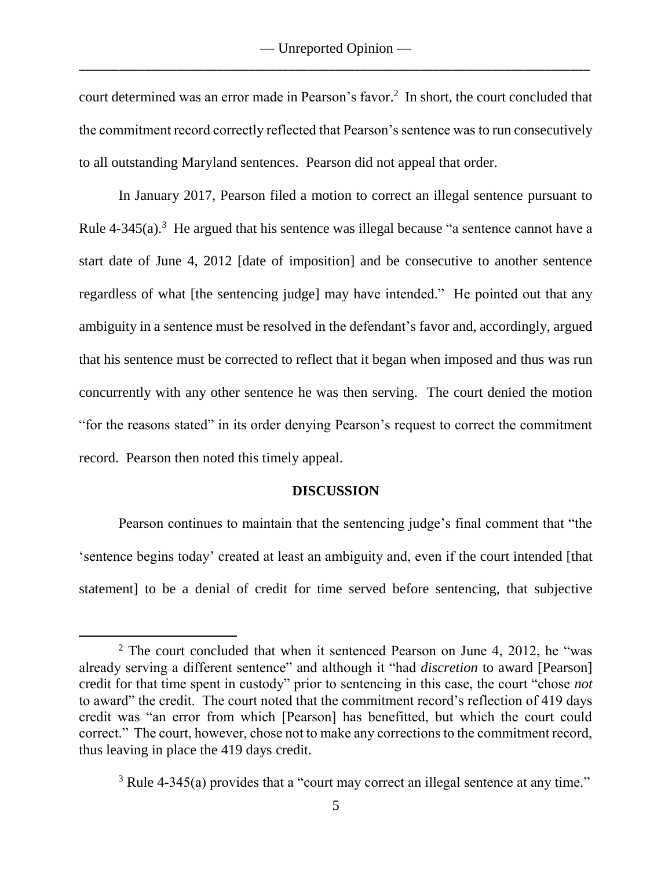court determined was an error made in Pearson's favor. 2 In short, the court concluded that the commitment record correctly reflected that Pearson's sentence was to run consecutively to all outstanding Maryland sentences. Pearson did not appeal that order.

In January 2017, Pearson filed a motion to correct an illegal sentence pursuant to Rule  $4-345(a)$ .<sup>3</sup> He argued that his sentence was illegal because "a sentence cannot have a start date of June 4, 2012 [date of imposition] and be consecutive to another sentence regardless of what [the sentencing judge] may have intended." He pointed out that any ambiguity in a sentence must be resolved in the defendant's favor and, accordingly, argued that his sentence must be corrected to reflect that it began when imposed and thus was run concurrently with any other sentence he was then serving. The court denied the motion "for the reasons stated" in its order denying Pearson's request to correct the commitment record. Pearson then noted this timely appeal.

#### **DISCUSSION**

Pearson continues to maintain that the sentencing judge's final comment that "the 'sentence begins today' created at least an ambiguity and, even if the court intended [that statement] to be a denial of credit for time served before sentencing, that subjective

 $\overline{a}$ 

 $2$  The court concluded that when it sentenced Pearson on June 4, 2012, he "was already serving a different sentence" and although it "had *discretion* to award [Pearson] credit for that time spent in custody" prior to sentencing in this case, the court "chose *not* to award" the credit. The court noted that the commitment record's reflection of 419 days credit was "an error from which [Pearson] has benefitted, but which the court could correct." The court, however, chose not to make any corrections to the commitment record, thus leaving in place the 419 days credit.

 $3$  Rule 4-345(a) provides that a "court may correct an illegal sentence at any time."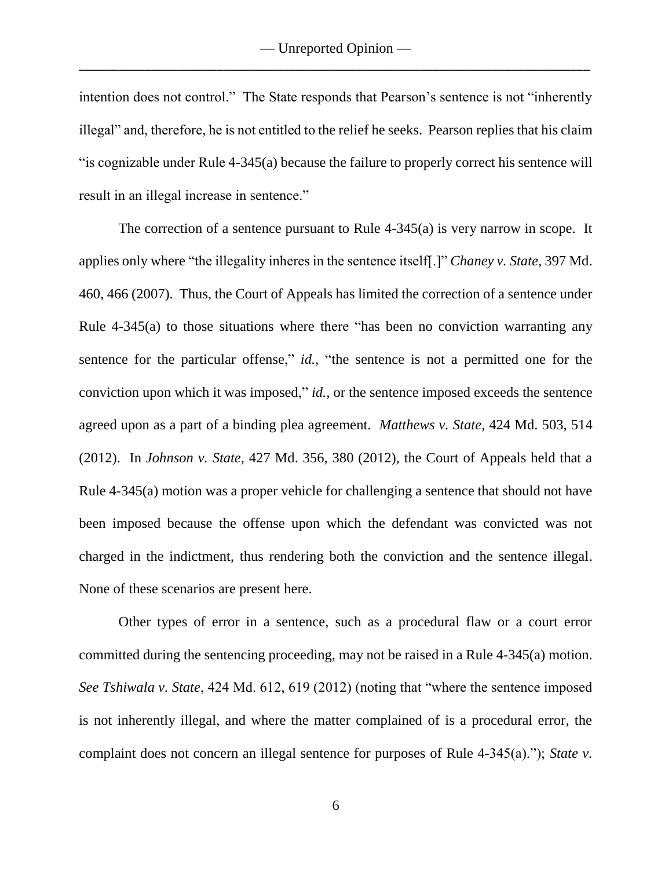intention does not control." The State responds that Pearson's sentence is not "inherently illegal" and, therefore, he is not entitled to the relief he seeks. Pearson replies that his claim "is cognizable under Rule 4-345(a) because the failure to properly correct his sentence will result in an illegal increase in sentence."

The correction of a sentence pursuant to Rule 4-345(a) is very narrow in scope. It applies only where "the illegality inheres in the sentence itself[.]" *Chaney v. State*, 397 Md. 460, 466 (2007). Thus, the Court of Appeals has limited the correction of a sentence under Rule 4-345(a) to those situations where there "has been no conviction warranting any sentence for the particular offense," *id.*, "the sentence is not a permitted one for the conviction upon which it was imposed," *id.,* or the sentence imposed exceeds the sentence agreed upon as a part of a binding plea agreement. *Matthews v. State*, 424 Md. 503, 514 (2012). In *Johnson v. State,* 427 Md. 356, 380 (2012), the Court of Appeals held that a Rule 4-345(a) motion was a proper vehicle for challenging a sentence that should not have been imposed because the offense upon which the defendant was convicted was not charged in the indictment, thus rendering both the conviction and the sentence illegal. None of these scenarios are present here.

Other types of error in a sentence, such as a procedural flaw or a court error committed during the sentencing proceeding, may not be raised in a Rule 4-345(a) motion. *See Tshiwala v. State*, 424 Md. 612, 619 (2012) (noting that "where the sentence imposed is not inherently illegal, and where the matter complained of is a procedural error, the complaint does not concern an illegal sentence for purposes of Rule 4-345(a)."); *State v.*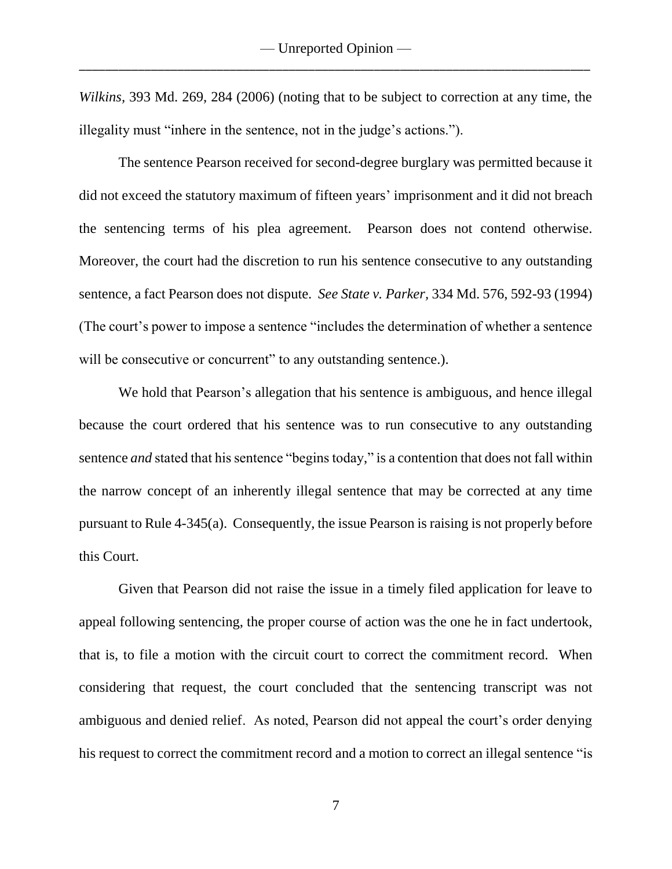*Wilkins,* 393 Md. 269, 284 (2006) (noting that to be subject to correction at any time, the illegality must "inhere in the sentence, not in the judge's actions.").

The sentence Pearson received for second-degree burglary was permitted because it did not exceed the statutory maximum of fifteen years' imprisonment and it did not breach the sentencing terms of his plea agreement. Pearson does not contend otherwise. Moreover, the court had the discretion to run his sentence consecutive to any outstanding sentence, a fact Pearson does not dispute. *See State v. Parker,* 334 Md. 576, 592-93 (1994) (The court's power to impose a sentence "includes the determination of whether a sentence will be consecutive or concurrent" to any outstanding sentence.).

We hold that Pearson's allegation that his sentence is ambiguous, and hence illegal because the court ordered that his sentence was to run consecutive to any outstanding sentence *and* stated that his sentence "begins today," is a contention that does not fall within the narrow concept of an inherently illegal sentence that may be corrected at any time pursuant to Rule 4-345(a). Consequently, the issue Pearson is raising is not properly before this Court.

Given that Pearson did not raise the issue in a timely filed application for leave to appeal following sentencing, the proper course of action was the one he in fact undertook, that is, to file a motion with the circuit court to correct the commitment record. When considering that request, the court concluded that the sentencing transcript was not ambiguous and denied relief. As noted, Pearson did not appeal the court's order denying his request to correct the commitment record and a motion to correct an illegal sentence "is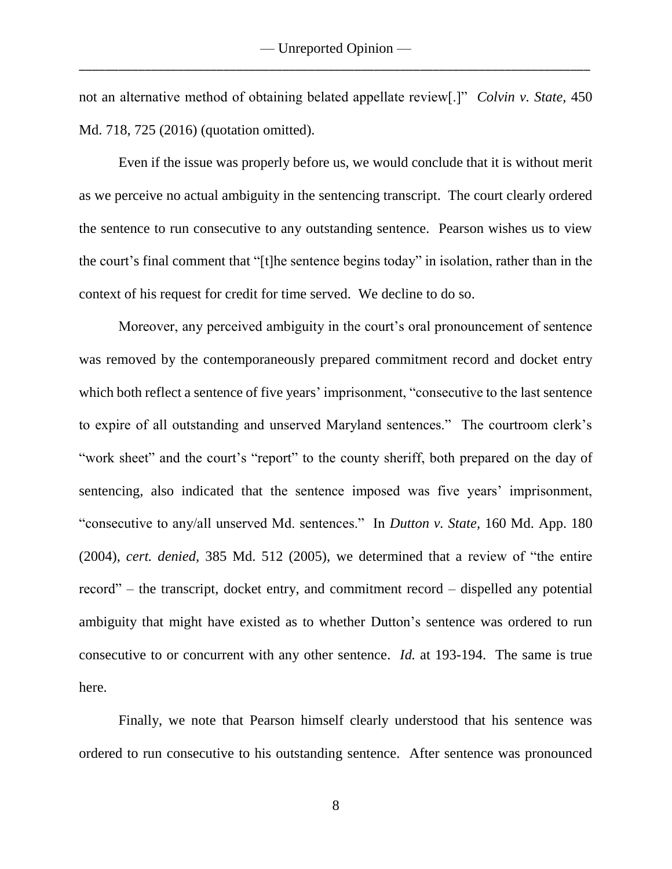not an alternative method of obtaining belated appellate review[.]" *Colvin v. State,* 450 Md. 718, 725 (2016) (quotation omitted).

Even if the issue was properly before us, we would conclude that it is without merit as we perceive no actual ambiguity in the sentencing transcript. The court clearly ordered the sentence to run consecutive to any outstanding sentence. Pearson wishes us to view the court's final comment that "[t]he sentence begins today" in isolation, rather than in the context of his request for credit for time served. We decline to do so.

Moreover, any perceived ambiguity in the court's oral pronouncement of sentence was removed by the contemporaneously prepared commitment record and docket entry which both reflect a sentence of five years' imprisonment, "consecutive to the last sentence to expire of all outstanding and unserved Maryland sentences." The courtroom clerk's "work sheet" and the court's "report" to the county sheriff, both prepared on the day of sentencing, also indicated that the sentence imposed was five years' imprisonment, "consecutive to any/all unserved Md. sentences." In *Dutton v. State,* 160 Md. App. 180 (2004), *cert. denied,* 385 Md. 512 (2005), we determined that a review of "the entire record" – the transcript, docket entry, and commitment record – dispelled any potential ambiguity that might have existed as to whether Dutton's sentence was ordered to run consecutive to or concurrent with any other sentence. *Id.* at 193-194. The same is true here.

Finally, we note that Pearson himself clearly understood that his sentence was ordered to run consecutive to his outstanding sentence. After sentence was pronounced

8